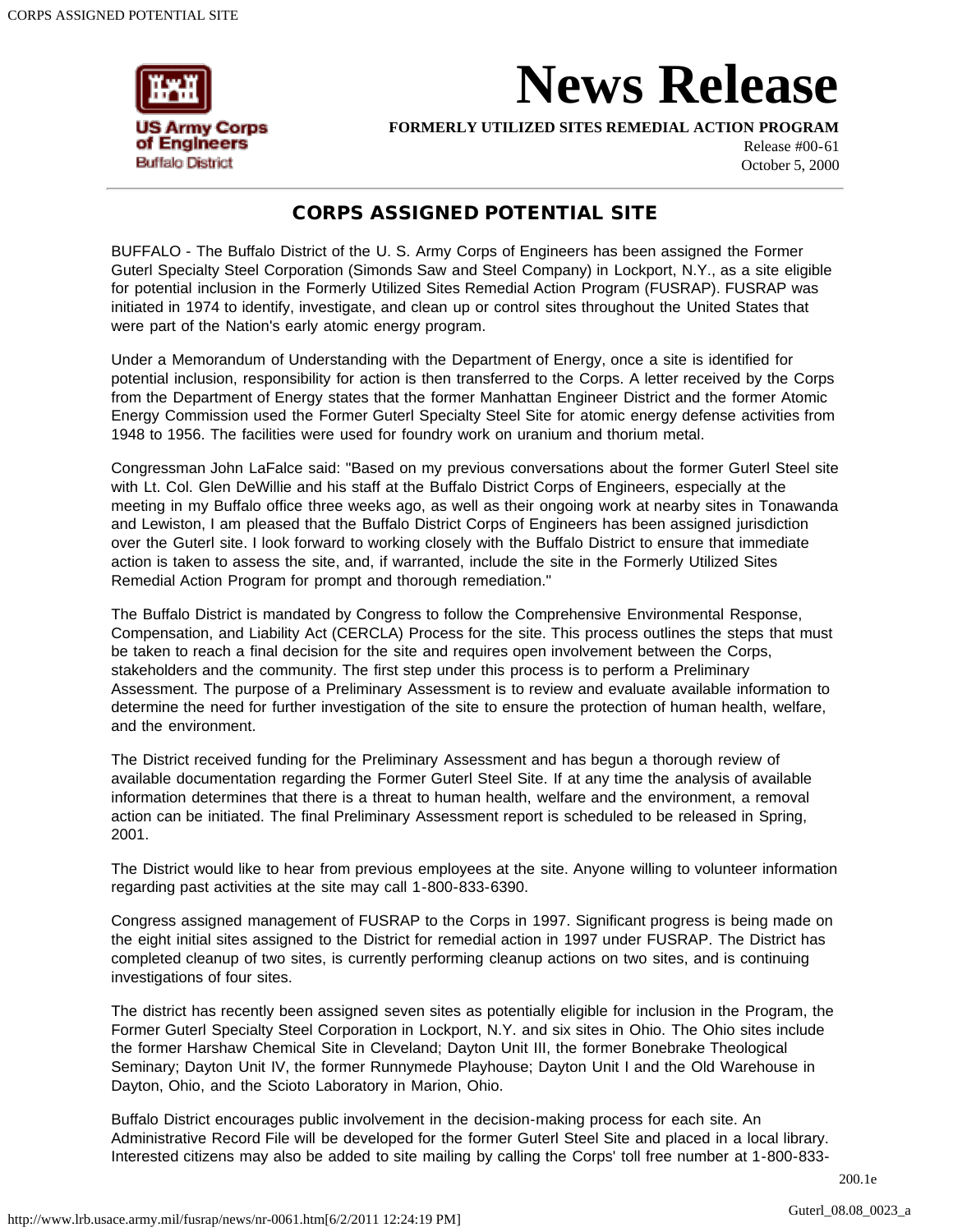

## **News Release**

**FORMERLY UTILIZED SITES REMEDIAL ACTION PROGRAM**

Release #00-61 October 5, 2000

## CORPS ASSIGNED POTENTIAL SITE

BUFFALO - The Buffalo District of the U. S. Army Corps of Engineers has been assigned the Former Guterl Specialty Steel Corporation (Simonds Saw and Steel Company) in Lockport, N.Y., as a site eligible for potential inclusion in the Formerly Utilized Sites Remedial Action Program (FUSRAP). FUSRAP was initiated in 1974 to identify, investigate, and clean up or control sites throughout the United States that were part of the Nation's early atomic energy program.

Under a Memorandum of Understanding with the Department of Energy, once a site is identified for potential inclusion, responsibility for action is then transferred to the Corps. A letter received by the Corps from the Department of Energy states that the former Manhattan Engineer District and the former Atomic Energy Commission used the Former Guterl Specialty Steel Site for atomic energy defense activities from 1948 to 1956. The facilities were used for foundry work on uranium and thorium metal.

Congressman John LaFalce said: "Based on my previous conversations about the former Guterl Steel site with Lt. Col. Glen DeWillie and his staff at the Buffalo District Corps of Engineers, especially at the meeting in my Buffalo office three weeks ago, as well as their ongoing work at nearby sites in Tonawanda and Lewiston, I am pleased that the Buffalo District Corps of Engineers has been assigned jurisdiction over the Guterl site. I look forward to working closely with the Buffalo District to ensure that immediate action is taken to assess the site, and, if warranted, include the site in the Formerly Utilized Sites Remedial Action Program for prompt and thorough remediation."

The Buffalo District is mandated by Congress to follow the Comprehensive Environmental Response, Compensation, and Liability Act (CERCLA) Process for the site. This process outlines the steps that must be taken to reach a final decision for the site and requires open involvement between the Corps, stakeholders and the community. The first step under this process is to perform a Preliminary Assessment. The purpose of a Preliminary Assessment is to review and evaluate available information to determine the need for further investigation of the site to ensure the protection of human health, welfare, and the environment.

The District received funding for the Preliminary Assessment and has begun a thorough review of available documentation regarding the Former Guterl Steel Site. If at any time the analysis of available information determines that there is a threat to human health, welfare and the environment, a removal action can be initiated. The final Preliminary Assessment report is scheduled to be released in Spring, 2001.

The District would like to hear from previous employees at the site. Anyone willing to volunteer information regarding past activities at the site may call 1-800-833-6390.

Congress assigned management of FUSRAP to the Corps in 1997. Significant progress is being made on the eight initial sites assigned to the District for remedial action in 1997 under FUSRAP. The District has completed cleanup of two sites, is currently performing cleanup actions on two sites, and is continuing investigations of four sites.

The district has recently been assigned seven sites as potentially eligible for inclusion in the Program, the Former Guterl Specialty Steel Corporation in Lockport, N.Y. and six sites in Ohio. The Ohio sites include the former Harshaw Chemical Site in Cleveland; Dayton Unit III, the former Bonebrake Theological Seminary; Dayton Unit IV, the former Runnymede Playhouse; Dayton Unit I and the Old Warehouse in Dayton, Ohio, and the Scioto Laboratory in Marion, Ohio.

Buffalo District encourages public involvement in the decision-making process for each site. An Administrative Record File will be developed for the former Guterl Steel Site and placed in a local library. Interested citizens may also be added to site mailing by calling the Corps' toll free number at 1-800-833